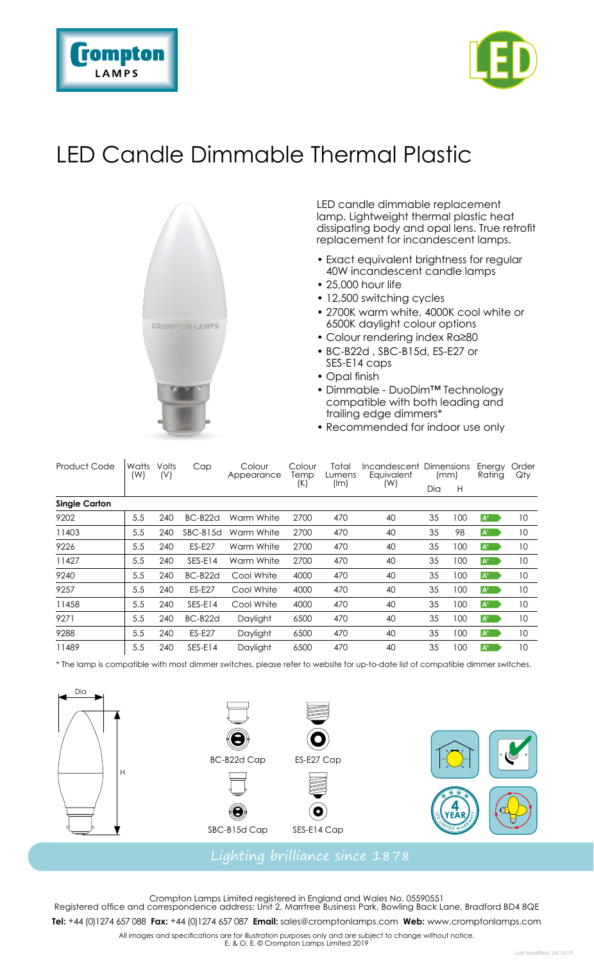



## LED Candle Dimmable Thermal Plastic



LED candle dimmable replacement lamp. Lightweight thermal plastic heat dissipating body and opal lens. True retrofit replacement for incandescent lamps.

- Exact equivalent brightness for regular 40W incandescent candle lamps
- 25,000 hour life
- 12,500 switching cycles
- 2700K warm white, 4000K cool white or 6500K daylight colour options
- Colour rendering index Ra≥80
- BC-B22d , SBC-B15d, ES-E27 or SES-E14 caps
- Opal finish
- Dimmable DuoDim™ Technology compatible with both leading and trailing edge dimmers\*
- Recommended for indoor use only

| Product Code         | Watts<br>(W) | Volts<br>(V) | Cap                  | Colour<br>Appearance | Colour<br>Temp<br>(K) | Total<br>Lumens<br>(lm) | Incandescent Dimensions<br>Eauivalent<br>(W) | (mm) |     | Energy<br>Rating | Order<br>Qty |  |  |  |
|----------------------|--------------|--------------|----------------------|----------------------|-----------------------|-------------------------|----------------------------------------------|------|-----|------------------|--------------|--|--|--|
|                      |              |              |                      |                      |                       |                         |                                              | Dia  | H   |                  |              |  |  |  |
| <b>Single Carton</b> |              |              |                      |                      |                       |                         |                                              |      |     |                  |              |  |  |  |
| 9202                 | 5.5          | 240          | BC-B <sub>22</sub> d | Warm White           | 2700                  | 470                     | 40                                           | 35   | 100 | $A^+$            | 10           |  |  |  |
| 11403                | 5.5          | 240          | SBC-B15d             | Warm White           | 2700                  | 470                     | 40                                           | 35   | 98  | $A^*$            | 10           |  |  |  |
| 9226                 | 5.5          | 240          | <b>ES-E27</b>        | Warm White           | 2700                  | 470                     | 40                                           | 35   | 100 | $A^*$            | 10           |  |  |  |
| 11427                | 5.5          | 240          | $SFS-F14$            | Warm White           | 2700                  | 470                     | 40                                           | 35   | 100 | $A^*$            | 10           |  |  |  |
| 9240                 | 5.5          | 240          | BC-B22d              | Cool White           | 4000                  | 470                     | 40                                           | 35   | 100 | $A^+$            | 10           |  |  |  |
| 9257                 | 5.5          | 240          | <b>ES-E27</b>        | Cool White           | 4000                  | 470                     | 40                                           | 35   | 100 | $A^+$            | 10           |  |  |  |
| 11458                | 5.5          | 240          | SES-E14              | Cool White           | 4000                  | 470                     | 40                                           | 35   | 100 | $A^+$            | 10           |  |  |  |
| 9271                 | 5.5          | 240          | BC-B22d              | Daylight             | 6500                  | 470                     | 40                                           | 35   | 100 | $A^+$            | 10           |  |  |  |
| 9288                 | 5.5          | 240          | <b>ES-E27</b>        | Daylight             | 6500                  | 470                     | 40                                           | 35   | 100 | $A^*$            | 10           |  |  |  |
| 11489                | 5.5          | 240          | SES-E14              | Davliaht             | 6500                  | 470                     | 40                                           | 35   | 100 | $A^*$            | 10           |  |  |  |

\* The lamp is compatible with most dimmer switches, please refer to website for up-to-date list of compatible dimmer switches.



Crompton Lamps Limited registered in England and Wales No. 05590551 Registered office and correspondence address: Unit 2, Marrtree Business Park, Bowling Back Lane, Bradford BD4 8QE **Tel:** +44 (0)1274 657 088 **Fax:** +44 (0)1274 657 087 **Email:** sales@cromptonlamps.com **Web:** www.cromptonlamps.com

All images and specifications are for illustration purposes only and are subject to change without notice. E. & O. E. © Crompton Lamps Limited 2019